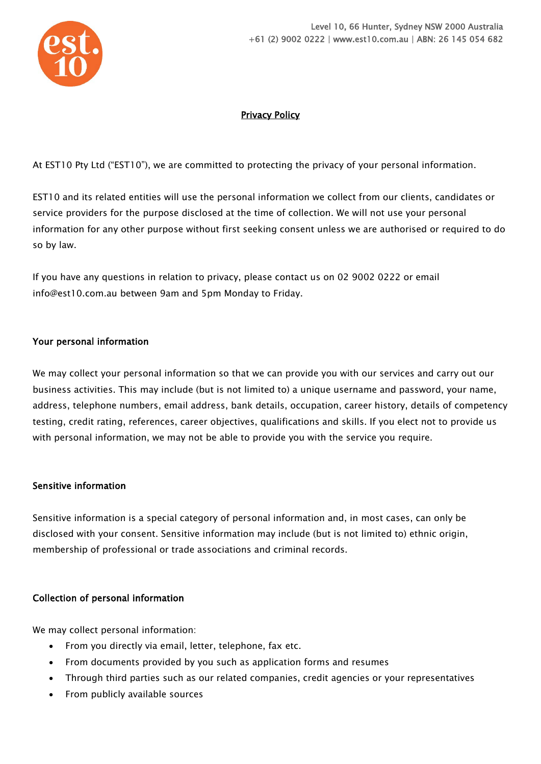

# Privacy Policy

At EST10 Pty Ltd ("EST10"), we are committed to protecting the privacy of your personal information.

EST10 and its related entities will use the personal information we collect from our clients, candidates or service providers for the purpose disclosed at the time of collection. We will not use your personal information for any other purpose without first seeking consent unless we are authorised or required to do so by law.

If you have any questions in relation to privacy, please contact us on 02 9002 0222 or email info@est10.com.au between 9am and 5pm Monday to Friday.

### Your personal information

We may collect your personal information so that we can provide you with our services and carry out our business activities. This may include (but is not limited to) a unique username and password, your name, address, telephone numbers, email address, bank details, occupation, career history, details of competency testing, credit rating, references, career objectives, qualifications and skills. If you elect not to provide us with personal information, we may not be able to provide you with the service you require.

#### Sensitive information

Sensitive information is a special category of personal information and, in most cases, can only be disclosed with your consent. Sensitive information may include (but is not limited to) ethnic origin, membership of professional or trade associations and criminal records.

# Collection of personal information

We may collect personal information:

- From you directly via email, letter, telephone, fax etc.
- From documents provided by you such as application forms and resumes
- Through third parties such as our related companies, credit agencies or your representatives
- From publicly available sources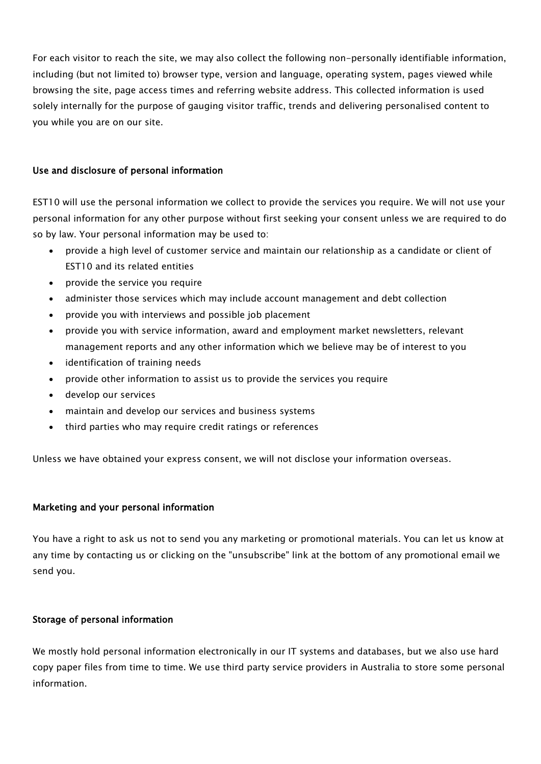For each visitor to reach the site, we may also collect the following non-personally identifiable information, including (but not limited to) browser type, version and language, operating system, pages viewed while browsing the site, page access times and referring website address. This collected information is used solely internally for the purpose of gauging visitor traffic, trends and delivering personalised content to you while you are on our site.

### Use and disclosure of personal information

EST10 will use the personal information we collect to provide the services you require. We will not use your personal information for any other purpose without first seeking your consent unless we are required to do so by law. Your personal information may be used to:

- provide a high level of customer service and maintain our relationship as a candidate or client of EST10 and its related entities
- provide the service you require
- administer those services which may include account management and debt collection
- provide you with interviews and possible job placement
- provide you with service information, award and employment market newsletters, relevant management reports and any other information which we believe may be of interest to you
- identification of training needs
- provide other information to assist us to provide the services you require
- develop our services
- maintain and develop our services and business systems
- third parties who may require credit ratings or references

Unless we have obtained your express consent, we will not disclose your information overseas.

#### Marketing and your personal information

You have a right to ask us not to send you any marketing or promotional materials. You can let us know at any time by contacting us or clicking on the "unsubscribe" link at the bottom of any promotional email we send you.

#### Storage of personal information

We mostly hold personal information electronically in our IT systems and databases, but we also use hard copy paper files from time to time. We use third party service providers in Australia to store some personal information.